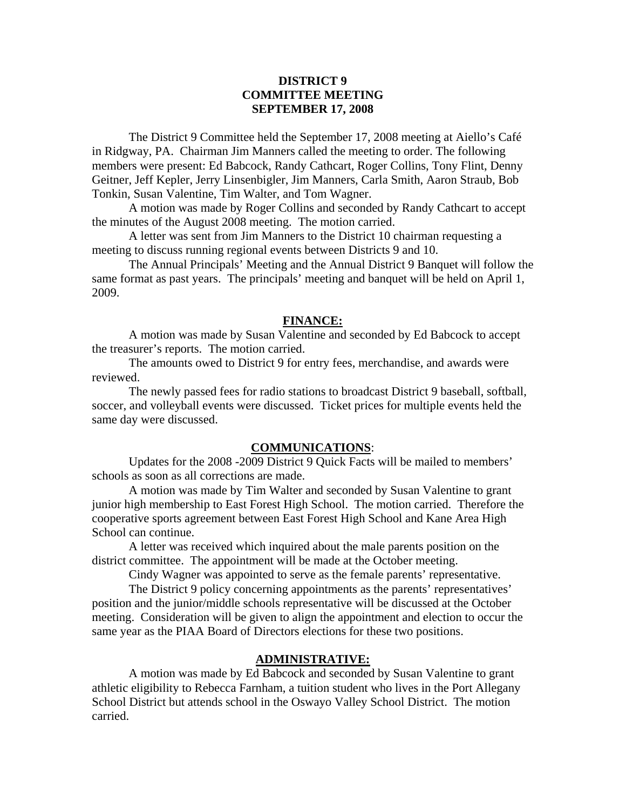# **DISTRICT 9 COMMITTEE MEETING SEPTEMBER 17, 2008**

 The District 9 Committee held the September 17, 2008 meeting at Aiello's Café in Ridgway, PA. Chairman Jim Manners called the meeting to order. The following members were present: Ed Babcock, Randy Cathcart, Roger Collins, Tony Flint, Denny Geitner, Jeff Kepler, Jerry Linsenbigler, Jim Manners, Carla Smith, Aaron Straub, Bob Tonkin, Susan Valentine, Tim Walter, and Tom Wagner.

 A motion was made by Roger Collins and seconded by Randy Cathcart to accept the minutes of the August 2008 meeting. The motion carried.

 A letter was sent from Jim Manners to the District 10 chairman requesting a meeting to discuss running regional events between Districts 9 and 10.

 The Annual Principals' Meeting and the Annual District 9 Banquet will follow the same format as past years. The principals' meeting and banquet will be held on April 1, 2009.

### **FINANCE:**

A motion was made by Susan Valentine and seconded by Ed Babcock to accept the treasurer's reports. The motion carried.

 The amounts owed to District 9 for entry fees, merchandise, and awards were reviewed.

 The newly passed fees for radio stations to broadcast District 9 baseball, softball, soccer, and volleyball events were discussed. Ticket prices for multiple events held the same day were discussed.

#### **COMMUNICATIONS**:

 Updates for the 2008 -2009 District 9 Quick Facts will be mailed to members' schools as soon as all corrections are made.

 A motion was made by Tim Walter and seconded by Susan Valentine to grant junior high membership to East Forest High School. The motion carried. Therefore the cooperative sports agreement between East Forest High School and Kane Area High School can continue.

 A letter was received which inquired about the male parents position on the district committee. The appointment will be made at the October meeting.

Cindy Wagner was appointed to serve as the female parents' representative.

 The District 9 policy concerning appointments as the parents' representatives' position and the junior/middle schools representative will be discussed at the October meeting. Consideration will be given to align the appointment and election to occur the same year as the PIAA Board of Directors elections for these two positions.

### **ADMINISTRATIVE:**

 A motion was made by Ed Babcock and seconded by Susan Valentine to grant athletic eligibility to Rebecca Farnham, a tuition student who lives in the Port Allegany School District but attends school in the Oswayo Valley School District. The motion carried.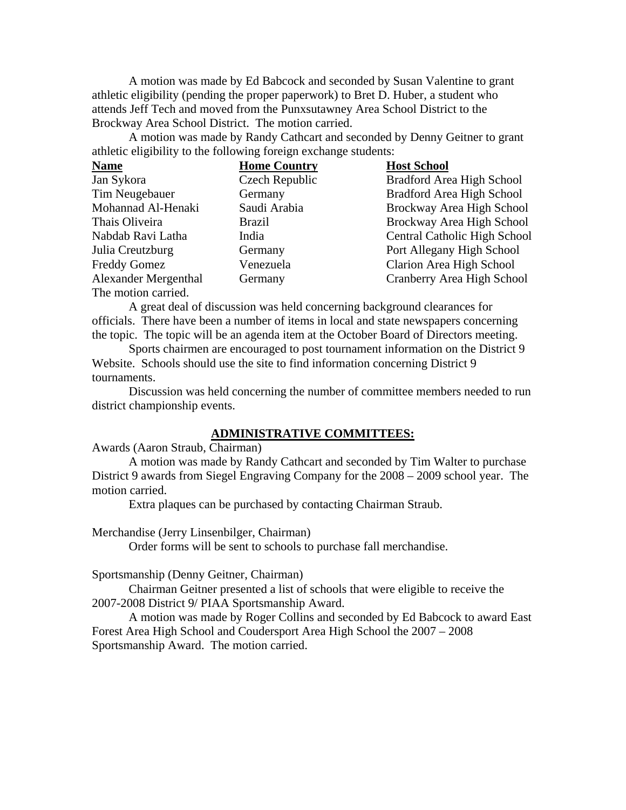A motion was made by Ed Babcock and seconded by Susan Valentine to grant athletic eligibility (pending the proper paperwork) to Bret D. Huber, a student who attends Jeff Tech and moved from the Punxsutawney Area School District to the Brockway Area School District. The motion carried.

 A motion was made by Randy Cathcart and seconded by Denny Geitner to grant athletic eligibility to the following foreign exchange students:

| <b>Name</b>                 | <b>Home Country</b> | <b>Host School</b>                  |
|-----------------------------|---------------------|-------------------------------------|
| Jan Sykora                  | Czech Republic      | Bradford Area High School           |
| Tim Neugebauer              | Germany             | Bradford Area High School           |
| Mohannad Al-Henaki          | Saudi Arabia        | Brockway Area High School           |
| Thais Oliveira              | <b>Brazil</b>       | Brockway Area High School           |
| Nabdab Ravi Latha           | India               | <b>Central Catholic High School</b> |
| Julia Creutzburg            | Germany             | Port Allegany High School           |
| <b>Freddy Gomez</b>         | Venezuela           | Clarion Area High School            |
| <b>Alexander Mergenthal</b> | Germany             | Cranberry Area High School          |
| The motion carried.         |                     |                                     |

 A great deal of discussion was held concerning background clearances for officials. There have been a number of items in local and state newspapers concerning the topic. The topic will be an agenda item at the October Board of Directors meeting.

 Sports chairmen are encouraged to post tournament information on the District 9 Website. Schools should use the site to find information concerning District 9 tournaments.

 Discussion was held concerning the number of committee members needed to run district championship events.

# **ADMINISTRATIVE COMMITTEES:**

Awards (Aaron Straub, Chairman)

 A motion was made by Randy Cathcart and seconded by Tim Walter to purchase District 9 awards from Siegel Engraving Company for the 2008 – 2009 school year. The motion carried.

Extra plaques can be purchased by contacting Chairman Straub.

Merchandise (Jerry Linsenbilger, Chairman)

Order forms will be sent to schools to purchase fall merchandise.

Sportsmanship (Denny Geitner, Chairman)

 Chairman Geitner presented a list of schools that were eligible to receive the 2007-2008 District 9/ PIAA Sportsmanship Award.

 A motion was made by Roger Collins and seconded by Ed Babcock to award East Forest Area High School and Coudersport Area High School the 2007 – 2008 Sportsmanship Award. The motion carried.